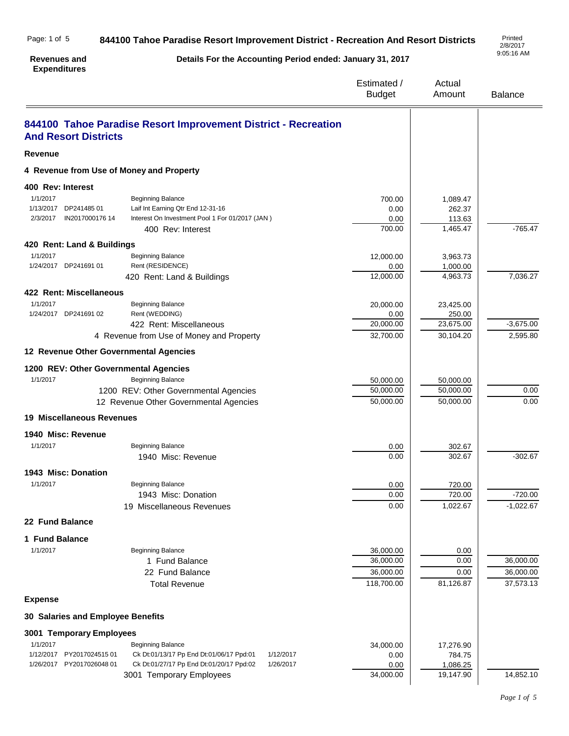|                                                                                                                                       | Estimated /<br><b>Budget</b>                                                                                                                                                                                                                                                                                                                       | Actual<br>Amount                                                                            | <b>Balance</b>                                                                        |
|---------------------------------------------------------------------------------------------------------------------------------------|----------------------------------------------------------------------------------------------------------------------------------------------------------------------------------------------------------------------------------------------------------------------------------------------------------------------------------------------------|---------------------------------------------------------------------------------------------|---------------------------------------------------------------------------------------|
| 844100 Tahoe Paradise Resort Improvement District - Recreation                                                                        |                                                                                                                                                                                                                                                                                                                                                    |                                                                                             |                                                                                       |
|                                                                                                                                       |                                                                                                                                                                                                                                                                                                                                                    |                                                                                             |                                                                                       |
| 4 Revenue from Use of Money and Property                                                                                              |                                                                                                                                                                                                                                                                                                                                                    |                                                                                             |                                                                                       |
|                                                                                                                                       |                                                                                                                                                                                                                                                                                                                                                    |                                                                                             |                                                                                       |
| <b>Beginning Balance</b><br>Laif Int Earning Qtr End 12-31-16<br>Interest On Investment Pool 1 For 01/2017 (JAN)<br>400 Rev: Interest | 700.00<br>0.00<br>0.00<br>700.00                                                                                                                                                                                                                                                                                                                   | 1,089.47<br>262.37<br>113.63<br>1,465.47                                                    | $-765.47$                                                                             |
|                                                                                                                                       |                                                                                                                                                                                                                                                                                                                                                    |                                                                                             |                                                                                       |
| <b>Beginning Balance</b><br>Rent (RESIDENCE)                                                                                          | 12,000.00<br>0.00                                                                                                                                                                                                                                                                                                                                  | 3,963.73<br>1,000.00                                                                        | 7,036.27                                                                              |
|                                                                                                                                       |                                                                                                                                                                                                                                                                                                                                                    |                                                                                             |                                                                                       |
| <b>Beginning Balance</b><br>Rent (WEDDING)                                                                                            | 20,000.00<br>0.00                                                                                                                                                                                                                                                                                                                                  | 23,425.00<br>250.00                                                                         |                                                                                       |
| 422 Rent: Miscellaneous                                                                                                               | 20,000.00                                                                                                                                                                                                                                                                                                                                          | 23,675.00                                                                                   | $-3,675.00$                                                                           |
|                                                                                                                                       |                                                                                                                                                                                                                                                                                                                                                    |                                                                                             | 2,595.80                                                                              |
|                                                                                                                                       |                                                                                                                                                                                                                                                                                                                                                    |                                                                                             |                                                                                       |
| 1200 REV: Other Governmental Agencies                                                                                                 |                                                                                                                                                                                                                                                                                                                                                    |                                                                                             |                                                                                       |
| 1200 REV: Other Governmental Agencies<br>12 Revenue Other Governmental Agencies                                                       | 50,000.00<br>50,000.00                                                                                                                                                                                                                                                                                                                             | 50,000.00<br>50,000.00                                                                      | 0.00<br>0.00                                                                          |
| <b>19 Miscellaneous Revenues</b>                                                                                                      |                                                                                                                                                                                                                                                                                                                                                    |                                                                                             |                                                                                       |
|                                                                                                                                       |                                                                                                                                                                                                                                                                                                                                                    |                                                                                             |                                                                                       |
| <b>Beginning Balance</b>                                                                                                              | 0.00                                                                                                                                                                                                                                                                                                                                               | 302.67                                                                                      |                                                                                       |
| 1940 Misc: Revenue                                                                                                                    | 0.00                                                                                                                                                                                                                                                                                                                                               | 302.67                                                                                      | $-302.67$                                                                             |
|                                                                                                                                       |                                                                                                                                                                                                                                                                                                                                                    |                                                                                             |                                                                                       |
| <b>Beginning Balance</b>                                                                                                              | 0.00                                                                                                                                                                                                                                                                                                                                               | 720.00                                                                                      |                                                                                       |
|                                                                                                                                       |                                                                                                                                                                                                                                                                                                                                                    |                                                                                             | $-720.00$<br>$-1,022.67$                                                              |
|                                                                                                                                       |                                                                                                                                                                                                                                                                                                                                                    |                                                                                             |                                                                                       |
|                                                                                                                                       |                                                                                                                                                                                                                                                                                                                                                    |                                                                                             |                                                                                       |
|                                                                                                                                       |                                                                                                                                                                                                                                                                                                                                                    |                                                                                             |                                                                                       |
|                                                                                                                                       | 36,000.00                                                                                                                                                                                                                                                                                                                                          | 0.00                                                                                        |                                                                                       |
|                                                                                                                                       |                                                                                                                                                                                                                                                                                                                                                    |                                                                                             | 36,000.00                                                                             |
|                                                                                                                                       |                                                                                                                                                                                                                                                                                                                                                    |                                                                                             | 36,000.00<br>37,573.13                                                                |
|                                                                                                                                       |                                                                                                                                                                                                                                                                                                                                                    |                                                                                             |                                                                                       |
|                                                                                                                                       | 420 Rent: Land & Buildings<br>420 Rent: Land & Buildings<br>422 Rent: Miscellaneous<br>4 Revenue from Use of Money and Property<br>12 Revenue Other Governmental Agencies<br><b>Beginning Balance</b><br>1943 Misc: Donation<br>19 Miscellaneous Revenues<br><b>Beginning Balance</b><br>1 Fund Balance<br>22 Fund Balance<br><b>Total Revenue</b> | 12,000.00<br>32,700.00<br>50,000.00<br>0.00<br>0.00<br>36,000.00<br>36,000.00<br>118,700.00 | 4,963.73<br>30,104.20<br>50,000.00<br>720.00<br>1,022.67<br>0.00<br>0.00<br>81,126.87 |

# **Expense 30 Salaries and Employee Benefits 3001 Temporary Employees** 1/1/2017 **Beginning Balance Beginning Balance 17,276.90 17,276.90** 1/1/2017 **1/1/2017 1/12/2017 1/12/2017 1/12/2017 1/12/2017 1/12/2017 1/12/2017 1/12/2017 1/12/2017 1/12** 1/12/2017 PY2017024515 01 Ck Dt:01/13/17 Pp End Dt:01/06/17 Ppd:01 1/12/2017 0.00<br>1/26/2017 PY2017026048 01 Ck Dt:01/27/17 Pp End Dt:01/20/17 Ppd:02 1/26/2017 0.00 Ck Dt:01/27/17 Pp End Dt:01/20/17 Ppd:02 1/26/2017 0.00 1,086.25 3001 Temporary Employees 34,000.00 19,147.90 14,852.10

Printed<br>2/8/2017 9:05:16 AM

#### **844100 Tahoe Paradise Resort Improvement District - Recreation And Resort Districts** Page: 1 of 5

**Details For the Accounting Period ended: January 31, 2017**

# **Revenues and**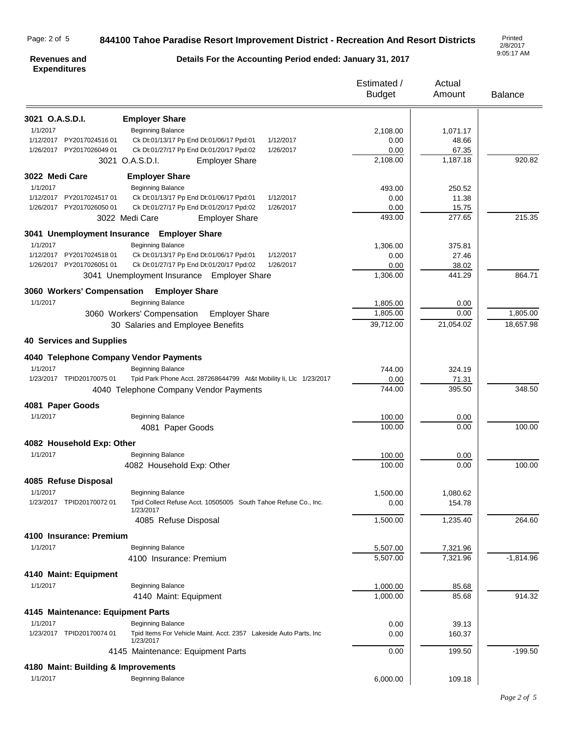#### Page: 2 of 5

## **844100 Tahoe Paradise Resort Improvement District - Recreation And Resort Districts**

2/8/2017 9:05:17 AM

#### **Revenues and Expenditures**

**Details For the Accounting Period ended: January 31, 2017**

|                                        |                                                                                 | Estimated /<br><b>Budget</b> | Actual<br>Amount  | <b>Balance</b> |
|----------------------------------------|---------------------------------------------------------------------------------|------------------------------|-------------------|----------------|
|                                        |                                                                                 |                              |                   |                |
| 3021 O.A.S.D.I.<br>1/1/2017            | <b>Employer Share</b><br><b>Beginning Balance</b>                               |                              |                   |                |
| 1/12/2017 PY2017024516 01              | Ck Dt:01/13/17 Pp End Dt:01/06/17 Ppd:01<br>1/12/2017                           | 2,108.00<br>0.00             | 1,071.17<br>48.66 |                |
| 1/26/2017 PY2017026049 01              | Ck Dt:01/27/17 Pp End Dt:01/20/17 Ppd:02<br>1/26/2017                           | 0.00                         | 67.35             |                |
|                                        | 3021 O.A.S.D.I.<br><b>Employer Share</b>                                        | 2,108.00                     | 1,187.18          | 920.82         |
| 3022 Medi Care                         | <b>Employer Share</b>                                                           |                              |                   |                |
| 1/1/2017                               | <b>Beginning Balance</b>                                                        | 493.00                       | 250.52            |                |
| 1/12/2017<br>PY201702451701            | Ck Dt:01/13/17 Pp End Dt:01/06/17 Ppd:01<br>1/12/2017                           | 0.00                         | 11.38             |                |
| 1/26/2017 PY2017026050 01              | Ck Dt:01/27/17 Pp End Dt:01/20/17 Ppd:02<br>1/26/2017                           | 0.00                         | 15.75             |                |
|                                        | 3022 Medi Care<br><b>Employer Share</b>                                         | 493.00                       | 277.65            | 215.35         |
|                                        | 3041 Unemployment Insurance Employer Share                                      |                              |                   |                |
| 1/1/2017                               | <b>Beginning Balance</b>                                                        | 1,306.00                     | 375.81            |                |
| 1/12/2017 PY2017024518 01              | Ck Dt:01/13/17 Pp End Dt:01/06/17 Ppd:01<br>1/12/2017                           | 0.00                         | 27.46             |                |
| 1/26/2017 PY2017026051 01              | Ck Dt:01/27/17 Pp End Dt:01/20/17 Ppd:02<br>1/26/2017                           | 0.00                         | 38.02             |                |
|                                        | 3041 Unemployment Insurance Employer Share                                      | 1,306.00                     | 441.29            | 864.71         |
|                                        | 3060 Workers' Compensation Employer Share                                       |                              |                   |                |
| 1/1/2017                               | <b>Beginning Balance</b>                                                        | 1,805.00                     | 0.00              |                |
|                                        | 3060 Workers' Compensation<br><b>Employer Share</b>                             | 1,805.00                     | 0.00              | 1,805.00       |
|                                        | 30 Salaries and Employee Benefits                                               | 39,712.00                    | 21,054.02         | 18,657.98      |
| <b>40 Services and Supplies</b>        |                                                                                 |                              |                   |                |
| 4040 Telephone Company Vendor Payments |                                                                                 |                              |                   |                |
| 1/1/2017                               | Beginning Balance                                                               | 744.00                       | 324.19            |                |
| 1/23/2017 TPID20170075 01              | Tpid Park Phone Acct. 287268644799 At&t Mobility Ii, Llc 1/23/2017              | 0.00                         | 71.31             |                |
|                                        | 4040 Telephone Company Vendor Payments                                          | 744.00                       | 395.50            | 348.50         |
| 4081 Paper Goods                       |                                                                                 |                              |                   |                |
| 1/1/2017                               | <b>Beginning Balance</b>                                                        | 100.00                       | 0.00              |                |
|                                        | 4081 Paper Goods                                                                | 100.00                       | 0.00              | 100.00         |
| 4082 Household Exp: Other              |                                                                                 |                              |                   |                |
| 1/1/2017                               | <b>Beginning Balance</b>                                                        | 100.00                       | 0.00              |                |
|                                        | 4082 Household Exp: Other                                                       | 100.00                       | 0.00              | 100.00         |
| 4085 Refuse Disposal                   |                                                                                 |                              |                   |                |
| 1/1/2017                               | <b>Beginning Balance</b>                                                        | 1,500.00                     | 1,080.62          |                |
| 1/23/2017 TPID20170072 01              | Tpid Collect Refuse Acct. 10505005 South Tahoe Refuse Co., Inc.<br>1/23/2017    | 0.00                         | 154.78            |                |
|                                        | 4085 Refuse Disposal                                                            | 1,500.00                     | 1,235.40          | 264.60         |
| 4100 Insurance: Premium                |                                                                                 |                              |                   |                |
| 1/1/2017                               | <b>Beginning Balance</b>                                                        | 5,507.00                     | 7,321.96          |                |
|                                        | 4100 Insurance: Premium                                                         | 5,507.00                     | 7,321.96          | $-1,814.96$    |
| 4140 Maint: Equipment                  |                                                                                 |                              |                   |                |
| 1/1/2017                               | <b>Beginning Balance</b>                                                        | 1,000.00                     | 85.68             |                |
|                                        | 4140 Maint: Equipment                                                           | 1,000.00                     | 85.68             | 914.32         |
| 4145 Maintenance: Equipment Parts      |                                                                                 |                              |                   |                |
| 1/1/2017                               | <b>Beginning Balance</b>                                                        | 0.00                         | 39.13             |                |
| 1/23/2017 TPID20170074 01              | Tpid Items For Vehicle Maint. Acct. 2357 Lakeside Auto Parts, Inc.<br>1/23/2017 | 0.00                         | 160.37            |                |
|                                        | 4145 Maintenance: Equipment Parts                                               | 0.00                         | 199.50            | $-199.50$      |
| 4180 Maint: Building & Improvements    |                                                                                 |                              |                   |                |
| 1/1/2017                               | <b>Beginning Balance</b>                                                        | 6,000.00                     | 109.18            |                |
|                                        |                                                                                 |                              |                   |                |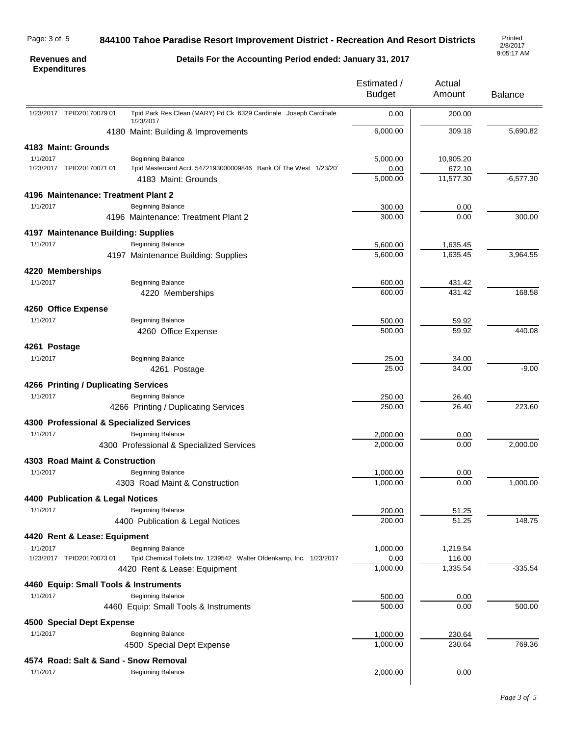#### Page: 3 of 5

# **844100 Tahoe Paradise Resort Improvement District - Recreation And Resort Districts**

2/8/2017 9:05:17 AM

#### **Revenues and Expenditures**

**Details For the Accounting Period ended: January 31, 2017**

|                                          |                                                                                                 | Estimated /<br><b>Budget</b> | Actual<br>Amount            | <b>Balance</b> |
|------------------------------------------|-------------------------------------------------------------------------------------------------|------------------------------|-----------------------------|----------------|
| 1/23/2017 TPID20170079 01                | Tpid Park Res Clean (MARY) Pd Ck 6329 Cardinale Joseph Cardinale<br>1/23/2017                   | 0.00                         | 200.00                      |                |
|                                          | 4180 Maint: Building & Improvements                                                             | 6,000.00                     | 309.18                      | 5,690.82       |
| 4183 Maint: Grounds                      |                                                                                                 |                              |                             |                |
| 1/1/2017                                 | <b>Beginning Balance</b>                                                                        | 5,000.00                     | 10,905.20                   |                |
| 1/23/2017 TPID20170071 01                | Tpid Mastercard Acct. 5472193000009846 Bank Of The West 1/23/20<br>4183 Maint: Grounds          | 0.00<br>5,000.00             | 672.10<br>11,577.30         | $-6,577.30$    |
| 4196 Maintenance: Treatment Plant 2      |                                                                                                 |                              |                             |                |
| 1/1/2017                                 | <b>Beginning Balance</b>                                                                        | 300.00                       | 0.00                        |                |
|                                          | 4196 Maintenance: Treatment Plant 2                                                             | 300.00                       | 0.00                        | 300.00         |
| 4197 Maintenance Building: Supplies      |                                                                                                 |                              |                             |                |
| 1/1/2017                                 | <b>Beginning Balance</b>                                                                        | 5,600.00                     | 1,635.45                    |                |
|                                          | 4197 Maintenance Building: Supplies                                                             | 5,600.00                     | 1,635.45                    | 3,964.55       |
| 4220 Memberships                         |                                                                                                 |                              |                             |                |
| 1/1/2017                                 | <b>Beginning Balance</b>                                                                        | 600.00                       | 431.42                      |                |
|                                          | 4220 Memberships                                                                                | 600.00                       | 431.42                      | 168.58         |
| 4260 Office Expense                      |                                                                                                 |                              |                             |                |
| 1/1/2017                                 | <b>Beginning Balance</b>                                                                        | 500.00                       | 59.92                       |                |
|                                          | 4260 Office Expense                                                                             | 500.00                       | 59.92                       | 440.08         |
| 4261 Postage                             |                                                                                                 |                              |                             |                |
| 1/1/2017                                 | <b>Beginning Balance</b>                                                                        | 25.00                        | 34.00                       |                |
|                                          | 4261 Postage                                                                                    | 25.00                        | 34.00                       | $-9.00$        |
| 4266 Printing / Duplicating Services     |                                                                                                 |                              |                             |                |
| 1/1/2017                                 | <b>Beginning Balance</b>                                                                        | 250.00                       | 26.40                       |                |
|                                          | 4266 Printing / Duplicating Services                                                            | 250.00                       | 26.40                       | 223.60         |
| 4300 Professional & Specialized Services |                                                                                                 |                              |                             |                |
| 1/1/2017                                 | <b>Beginning Balance</b>                                                                        | 2,000.00<br>2,000.00         | 0.00<br>0.00                | 2,000.00       |
|                                          | 4300 Professional & Specialized Services                                                        |                              |                             |                |
| 4303 Road Maint & Construction           |                                                                                                 |                              |                             |                |
| 1/1/2017                                 | <b>Beginning Balance</b><br>4303 Road Maint & Construction                                      | 1,000.00<br>1,000.00         | 0.00<br>0.00                | 1,000.00       |
|                                          |                                                                                                 |                              |                             |                |
| 4400 Publication & Legal Notices         |                                                                                                 |                              |                             |                |
| 1/1/2017                                 | <b>Beginning Balance</b><br>4400 Publication & Legal Notices                                    | 200.00<br>200.00             | 51.25<br>$\overline{5}1.25$ | 148.75         |
|                                          |                                                                                                 |                              |                             |                |
| 4420 Rent & Lease: Equipment             |                                                                                                 |                              |                             |                |
| 1/1/2017<br>1/23/2017 TPID20170073 01    | <b>Beginning Balance</b><br>Tpid Chemical Toilets Inv. 1239542 Walter Ofdenkamp, Inc. 1/23/2017 | 1,000.00<br>0.00             | 1,219.54<br>116.00          |                |
|                                          | 4420 Rent & Lease: Equipment                                                                    | 1,000.00                     | 1,335.54                    | $-335.54$      |
| 4460 Equip: Small Tools & Instruments    |                                                                                                 |                              |                             |                |
| 1/1/2017                                 | <b>Beginning Balance</b>                                                                        | 500.00                       | 0.00                        |                |
|                                          | 4460 Equip: Small Tools & Instruments                                                           | 500.00                       | 0.00                        | 500.00         |
| 4500 Special Dept Expense                |                                                                                                 |                              |                             |                |
| 1/1/2017                                 | <b>Beginning Balance</b>                                                                        | 1,000.00                     | 230.64                      |                |
|                                          | 4500 Special Dept Expense                                                                       | 1,000.00                     | 230.64                      | 769.36         |
| 4574 Road: Salt & Sand - Snow Removal    |                                                                                                 |                              |                             |                |
| 1/1/2017                                 | <b>Beginning Balance</b>                                                                        | 2,000.00                     | 0.00                        |                |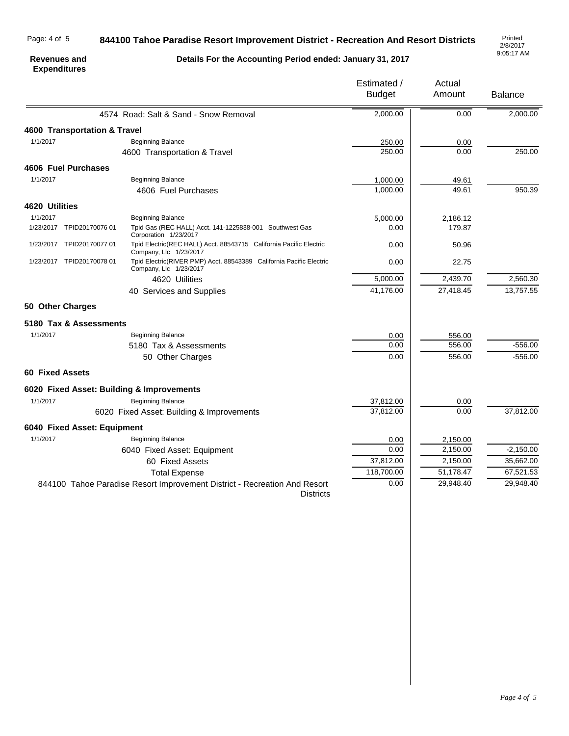#### Page: 4 of 5

### **844100 Tahoe Paradise Resort Improvement District - Recreation And Resort Districts**

2/8/2017 9:05:17 AM

#### **Revenues and Expenditures**

**Details For the Accounting Period ended: January 31, 2017**

|                                           |                                                                                               | Estimated /<br><b>Budget</b> | Actual<br>Amount | <b>Balance</b> |
|-------------------------------------------|-----------------------------------------------------------------------------------------------|------------------------------|------------------|----------------|
|                                           | 4574 Road: Salt & Sand - Snow Removal                                                         | 2,000.00                     | 0.00             | 2,000.00       |
| 4600 Transportation & Travel              |                                                                                               |                              |                  |                |
| 1/1/2017                                  | <b>Beginning Balance</b>                                                                      | 250.00                       | 0.00             |                |
|                                           | 4600 Transportation & Travel                                                                  | 250.00                       | 0.00             | 250.00         |
| 4606 Fuel Purchases                       |                                                                                               |                              |                  |                |
| 1/1/2017                                  | <b>Beginning Balance</b>                                                                      | 1,000.00                     | 49.61            |                |
|                                           | 4606 Fuel Purchases                                                                           | 1,000.00                     | 49.61            | 950.39         |
| 4620 Utilities                            |                                                                                               |                              |                  |                |
| 1/1/2017                                  | Beginning Balance                                                                             | 5,000.00                     | 2,186.12         |                |
| 1/23/2017 TPID20170076 01                 | Tpid Gas (REC HALL) Acct. 141-1225838-001 Southwest Gas<br>Corporation 1/23/2017              | 0.00                         | 179.87           |                |
| 1/23/2017 TPID20170077 01                 | Tpid Electric(REC HALL) Acct. 88543715 California Pacific Electric<br>Company, Llc 1/23/2017  | 0.00                         | 50.96            |                |
| 1/23/2017 TPID20170078 01                 | Tpid Electric(RIVER PMP) Acct. 88543389 California Pacific Electric<br>Company, Llc 1/23/2017 | 0.00                         | 22.75            |                |
|                                           | 4620 Utilities                                                                                | 5,000.00                     | 2,439.70         | 2,560.30       |
|                                           | 40 Services and Supplies                                                                      | 41,176.00                    | 27,418.45        | 13,757.55      |
| 50 Other Charges                          |                                                                                               |                              |                  |                |
| 5180 Tax & Assessments                    |                                                                                               |                              |                  |                |
| 1/1/2017                                  | <b>Beginning Balance</b>                                                                      | 0.00                         | 556.00           |                |
|                                           | 5180 Tax & Assessments                                                                        | 0.00                         | 556.00           | $-556.00$      |
|                                           | 50 Other Charges                                                                              | 0.00                         | 556.00           | $-556.00$      |
| <b>60 Fixed Assets</b>                    |                                                                                               |                              |                  |                |
| 6020 Fixed Asset: Building & Improvements |                                                                                               |                              |                  |                |
| 1/1/2017                                  | <b>Beginning Balance</b>                                                                      | 37,812.00                    | 0.00             |                |
|                                           | 6020 Fixed Asset: Building & Improvements                                                     | 37,812.00                    | 0.00             | 37,812.00      |
| 6040 Fixed Asset: Equipment               |                                                                                               |                              |                  |                |
| 1/1/2017                                  | <b>Beginning Balance</b>                                                                      | 0.00                         | 2,150.00         |                |
|                                           | 6040 Fixed Asset: Equipment                                                                   | 0.00                         | 2,150.00         | $-2,150.00$    |
|                                           | 60 Fixed Assets                                                                               | 37,812.00                    | 2,150.00         | 35,662.00      |
|                                           | <b>Total Expense</b>                                                                          | 118,700.00                   | 51,178.47        | 67,521.53      |
|                                           | 844100 Tahoe Paradise Resort Improvement District - Recreation And Resort<br><b>Districts</b> | 0.00                         | 29,948.40        | 29,948.40      |
|                                           |                                                                                               |                              |                  |                |